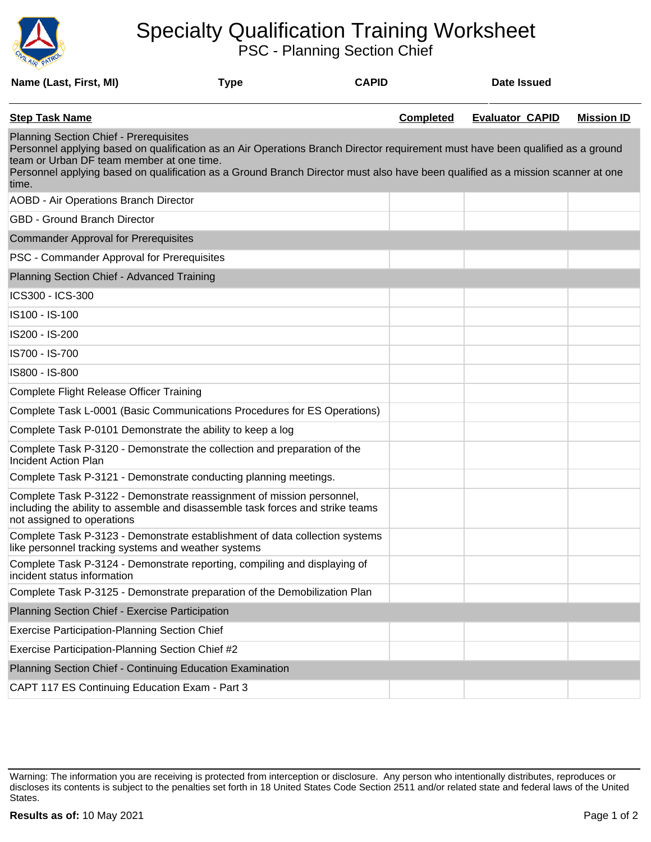

## Specialty Qualification Training Worksheet

PSC - Planning Section Chief

| Name (Last, First, MI)                                                                                                                                                                                                                                                                                                                                                    | <b>Type</b> | <b>CAPID</b> |                  | <b>Date Issued</b>     |                   |
|---------------------------------------------------------------------------------------------------------------------------------------------------------------------------------------------------------------------------------------------------------------------------------------------------------------------------------------------------------------------------|-------------|--------------|------------------|------------------------|-------------------|
| <b>Step Task Name</b>                                                                                                                                                                                                                                                                                                                                                     |             |              | <b>Completed</b> | <b>Evaluator CAPID</b> | <b>Mission ID</b> |
| <b>Planning Section Chief - Prerequisites</b><br>Personnel applying based on qualification as an Air Operations Branch Director requirement must have been qualified as a ground<br>team or Urban DF team member at one time.<br>Personnel applying based on qualification as a Ground Branch Director must also have been qualified as a mission scanner at one<br>time. |             |              |                  |                        |                   |
| AOBD - Air Operations Branch Director                                                                                                                                                                                                                                                                                                                                     |             |              |                  |                        |                   |
| <b>GBD - Ground Branch Director</b>                                                                                                                                                                                                                                                                                                                                       |             |              |                  |                        |                   |
| <b>Commander Approval for Prerequisites</b>                                                                                                                                                                                                                                                                                                                               |             |              |                  |                        |                   |
| PSC - Commander Approval for Prerequisites                                                                                                                                                                                                                                                                                                                                |             |              |                  |                        |                   |
| Planning Section Chief - Advanced Training                                                                                                                                                                                                                                                                                                                                |             |              |                  |                        |                   |
| ICS300 - ICS-300                                                                                                                                                                                                                                                                                                                                                          |             |              |                  |                        |                   |
| IS100 - IS-100                                                                                                                                                                                                                                                                                                                                                            |             |              |                  |                        |                   |
| IS200 - IS-200                                                                                                                                                                                                                                                                                                                                                            |             |              |                  |                        |                   |
| IS700 - IS-700                                                                                                                                                                                                                                                                                                                                                            |             |              |                  |                        |                   |
| IS800 - IS-800                                                                                                                                                                                                                                                                                                                                                            |             |              |                  |                        |                   |
| Complete Flight Release Officer Training                                                                                                                                                                                                                                                                                                                                  |             |              |                  |                        |                   |
| Complete Task L-0001 (Basic Communications Procedures for ES Operations)                                                                                                                                                                                                                                                                                                  |             |              |                  |                        |                   |
| Complete Task P-0101 Demonstrate the ability to keep a log                                                                                                                                                                                                                                                                                                                |             |              |                  |                        |                   |
| Complete Task P-3120 - Demonstrate the collection and preparation of the<br><b>Incident Action Plan</b>                                                                                                                                                                                                                                                                   |             |              |                  |                        |                   |
| Complete Task P-3121 - Demonstrate conducting planning meetings.                                                                                                                                                                                                                                                                                                          |             |              |                  |                        |                   |
| Complete Task P-3122 - Demonstrate reassignment of mission personnel,<br>including the ability to assemble and disassemble task forces and strike teams<br>not assigned to operations                                                                                                                                                                                     |             |              |                  |                        |                   |
| Complete Task P-3123 - Demonstrate establishment of data collection systems<br>like personnel tracking systems and weather systems                                                                                                                                                                                                                                        |             |              |                  |                        |                   |
| Complete Task P-3124 - Demonstrate reporting, compiling and displaying of<br>incident status information                                                                                                                                                                                                                                                                  |             |              |                  |                        |                   |
| Complete Task P-3125 - Demonstrate preparation of the Demobilization Plan                                                                                                                                                                                                                                                                                                 |             |              |                  |                        |                   |
| Planning Section Chief - Exercise Participation                                                                                                                                                                                                                                                                                                                           |             |              |                  |                        |                   |
| <b>Exercise Participation-Planning Section Chief</b>                                                                                                                                                                                                                                                                                                                      |             |              |                  |                        |                   |
| Exercise Participation-Planning Section Chief #2                                                                                                                                                                                                                                                                                                                          |             |              |                  |                        |                   |
| Planning Section Chief - Continuing Education Examination                                                                                                                                                                                                                                                                                                                 |             |              |                  |                        |                   |
| CAPT 117 ES Continuing Education Exam - Part 3                                                                                                                                                                                                                                                                                                                            |             |              |                  |                        |                   |

Warning: The information you are receiving is protected from interception or disclosure. Any person who intentionally distributes, reproduces or discloses its contents is subject to the penalties set forth in 18 United States Code Section 2511 and/or related state and federal laws of the United States.